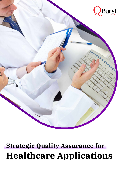

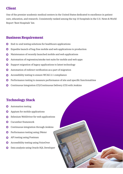One of the premier academic medical centers in the United States dedicated to excellence in patient care, education, and research. Consistently ranked among the top 10 hospitals in the U.S. News & World Report 'Best Hospitals' list.

# **Client**

- Automation testing  $\mathbf O$
- Appium for mobile applications  $\mathbf O$
- Selenium WebDriver for web applications  $\bigcap$
- Cucumber framework
- Continuous integration through Jenkins
- Performance testing using JMeter
- API testing using Postman
- Accessibility testing using VoiceOver
- Data analysis using Oracle SQL Developer  $\mathbf O$



## **Business Requirement**

- $\mathbf O$ End-to-end testing solutions for healthcare applications
- $\mathbf O$ Expedite launch of bug-free mobile and web applications to production
- Maintenance of recently launched mobile and web applications  $\bigcirc$
- Automation of regression/smoke test suite for mobile and web apps  $\bigcirc$
- Support migration of legacy applications to latest technology  $\mathbf O$
- Automation of redirect verification as a part of migration  $\mathbf O$
- Accessibility testing to ensure WCAG 2.1 compliance  $\mathbf O$
- Performance testing to measure performance of site and specific functionalities  $\mathbf O$
- Continuous Integration (CI)/Continuous Delivery (CD) with Jenkins  $\mathbf O$

## **Technology Stack**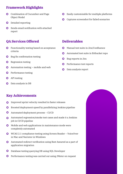- Combination of Cucumber and Page  $\bigcirc$ Object Model
- Detailed reporting  $\bigcirc$
- Sends email notification with attached  $\mathbf O$ report
- Easily customizable for multiple platforms  $\overline{\mathbf{O}}$
- Captures screenshot for failed scenarios  $\mathbf O$

- Functionality testing based on acceptance  $\mathbf O$ criteria
- Bug fix confirmation testing  $\mathbf O$
- Regression testing  $\overline{\mathbf{O}}$

# **Framework Highlights**

- Manual test suite in Jira/Confluence  $\mathbf O$
- Automated test suite in Bitbucket repo  $\mathbf O$
- Bug reports in Jira  $\bigcirc$
- Automation testing mobile and web  $\mathbf O$
- Performance testing  $\mathbf O$
- API testing  $\mathbf O$
- Data analysis in DB  $\bigcirc$

Data analysis report  $\mathbf O$ 



- Mobile and web applications in maintenance mode were  $\mathbf O$ completely automated
- WCAG 2.1 compliance testing using Screen Reader VoiceOver  $\bigcirc$ in Mac and Narrator in Windows
- Automated redirect verification using Rest Assured as a part of  $\bigcirc$ application migration
- Database testing querying DB using SQL Developer  $\mathbf O$
- Performance testing was carried out using JMeter on request  $\bigcirc$

# **QA Services Offered**



#### **Deliverables**

- Improved sprint velocity resulted in faster releases  $\bullet$
- Boosted deployment speed by parallelizing Jenkins pipeline  $\mathbf O$
- Automated deployment process CI/CD  $\overline{\mathbf{O}}$
- Automated regression/smoke test cases and made it a Jenkins  $\bigcirc$ job in CI/CD pipeline

#### **Key Achievements**